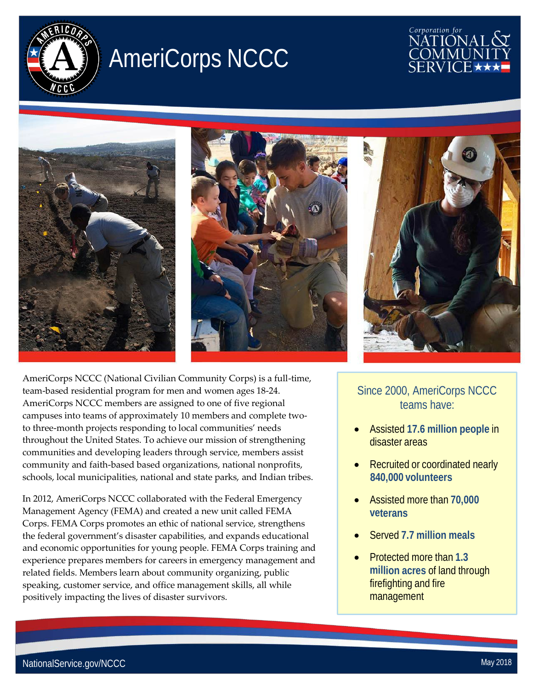

## AmeriCorps NCCC









Since 2000, AmeriCorps NCCC teams have:

- Assisted **17.6 million people** in disaster areas
- Recruited or coordinated nearly **840,000 volunteers**
- Assisted more than **70,000 veterans**
- Served **7.7 million meals**
- Protected more than **1.3 million acres** of land through firefighting and fire management

AmeriCorps NCCC (National Civilian Community Corps) is a full-time, team-based residential program for men and women ages 18-24. AmeriCorps NCCC members are assigned to one of five regional campuses into teams of approximately 10 members and complete twoto three-month projects responding to local communities' needs throughout the United States. To achieve our mission of strengthening communities and developing leaders through service, members assist community and faith-based based organizations, national nonprofits, schools, local municipalities, national and state parks, and Indian tribes.

In 2012, AmeriCorps NCCC collaborated with the Federal Emergency Management Agency (FEMA) and created a new unit called FEMA Corps. FEMA Corps promotes an ethic of national service, strengthens the federal government's disaster capabilities, and expands educational and economic opportunities for young people. FEMA Corps training and experience prepares members for careers in emergency management and related fields. Members learn about community organizing, public speaking, customer service, and office management skills, all while positively impacting the lives of disaster survivors.